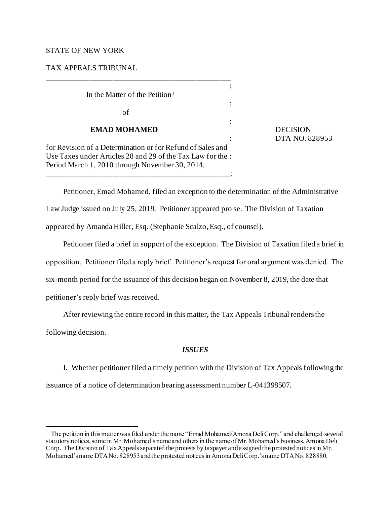## STATE OF NEW YORK

TAX APPEALS TRIBUNAL

: In the Matter of the Petition<sup>1</sup> : of : **EMAD MOHAMED** DECISION for Revision of a Determination or for Refund of Sales and Use Taxes under Articles 28 and 29 of the Tax Law for the : Period March 1, 2010 through November 30, 2014. \_\_\_\_\_\_\_\_\_\_\_\_\_\_\_\_\_\_\_\_\_\_\_\_\_\_\_\_\_\_\_\_\_\_\_\_\_\_\_\_\_\_\_\_\_\_\_\_:

\_\_\_\_\_\_\_\_\_\_\_\_\_\_\_\_\_\_\_\_\_\_\_\_\_\_\_\_\_\_\_\_\_\_\_\_\_\_\_\_\_\_\_\_\_\_\_\_

: DTA NO. 828953

Petitioner, Emad Mohamed, filed an exception to the determination of the Administrative Law Judge issued on July 25, 2019. Petitioner appeared pro se. The Division of Taxation appeared by Amanda Hiller, Esq. (Stephanie Scalzo, Esq., of counsel).

Petitioner filed a brief in support of the exception. The Division of Taxation filed a brief in opposition. Petitioner filed a reply brief. Petitioner's request for oral argument was denied. The six-month period for the issuance of this decision began on November 8, 2019, the date that petitioner's reply brief was received.

After reviewing the entire record in this matter, the Tax Appeals Tribunal renders the

following decision.

# *ISSUES*

 I. Whether petitioner filed a timely petition with the Division of Tax Appeals following the issuance of a notice of determination bearing assessment number L-041398507.

<sup>&</sup>lt;sup>1</sup> The petition in this matter was filed under the name "Emad Mohamed/Amona Deli Corp." and challenged several statutory notices, some in Mr. Mohamed's name and others in the name of Mr. Mohamed's business, Amona Deli Corp. The Division of Tax Appeals separated the protests by taxpayer and assigned the protested notices in Mr. Mohamed's name DTA No. 828953 and the protested notices in Amona Deli Corp.'s name DTA No. 828880.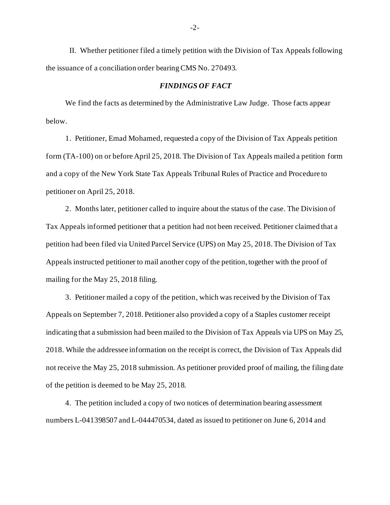II. Whether petitioner filed a timely petition with the Division of Tax Appeals following the issuance of a conciliation order bearing CMS No. 270493.

## *FINDINGS OF FACT*

We find the facts as determined by the Administrative Law Judge. Those facts appear below.

1. Petitioner, Emad Mohamed, requested a copy of the Division of Tax Appeals petition form (TA-100) on or before April 25, 2018. The Division of Tax Appeals mailed a petition form and a copy of the New York State Tax Appeals Tribunal Rules of Practice and Procedure to petitioner on April 25, 2018.

2. Months later, petitioner called to inquire about the status of the case. The Division of Tax Appeals informed petitioner that a petition had not been received. Petitioner claimed that a petition had been filed via United Parcel Service (UPS) on May 25, 2018. The Division of Tax Appeals instructed petitioner to mail another copy of the petition, together with the proof of mailing for the May 25, 2018 filing.

3. Petitioner mailed a copy of the petition, which was received by the Division of Tax Appeals on September 7, 2018. Petitioner also provided a copy of a Staples customer receipt indicating that a submission had been mailed to the Division of Tax Appeals via UPS on May 25, 2018. While the addressee information on the receipt is correct, the Division of Tax Appeals did not receive the May 25, 2018 submission. As petitioner provided proof of mailing, the filing date of the petition is deemed to be May 25, 2018.

4. The petition included a copy of two notices of determination bearing assessment numbers L-041398507 and L-044470534, dated as issued to petitioner on June 6, 2014 and

-2-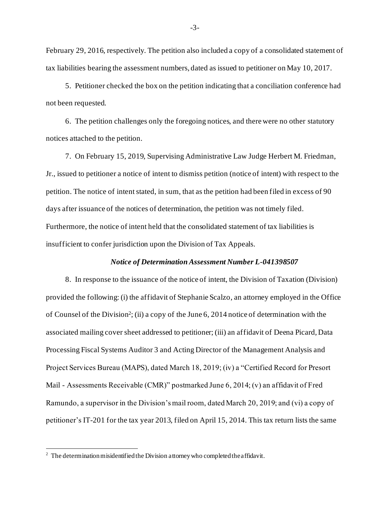February 29, 2016, respectively. The petition also included a copy of a consolidated statement of tax liabilities bearing the assessment numbers, dated as issued to petitioner on May 10, 2017.

5. Petitioner checked the box on the petition indicating that a conciliation conference had not been requested.

6. The petition challenges only the foregoing notices, and there were no other statutory notices attached to the petition.

7. On February 15, 2019, Supervising Administrative Law Judge Herbert M. Friedman, Jr., issued to petitioner a notice of intent to dismiss petition (notice of intent) with respect to the petition. The notice of intent stated, in sum, that as the petition had been filed in excess of 90 days after issuance of the notices of determination, the petition was not timely filed. Furthermore, the notice of intent held that the consolidated statement of tax liabilities is insufficient to confer jurisdiction upon the Division of Tax Appeals.

## *Notice of Determination Assessment Number L-041398507*

8. In response to the issuance of the notice of intent, the Division of Taxation (Division) provided the following: (i) the affidavit of Stephanie Scalzo, an attorney employed in the Office of Counsel of the Division<sup>2</sup> ; (ii) a copy of the June 6, 2014 notice of determination with the associated mailing cover sheet addressed to petitioner; (iii) an affidavit of Deena Picard, Data Processing Fiscal Systems Auditor 3 and Acting Director of the Management Analysis and Project Services Bureau (MAPS), dated March 18, 2019; (iv) a "Certified Record for Presort Mail - Assessments Receivable (CMR)" postmarked June 6, 2014; (v) an affidavit of Fred Ramundo, a supervisor in the Division's mail room, dated March 20, 2019; and (vi) a copy of petitioner's IT-201 for the tax year 2013, filed on April 15, 2014. This tax return lists the same

<sup>&</sup>lt;sup>2</sup> The determination misidentified the Division attorney who completed the affidavit.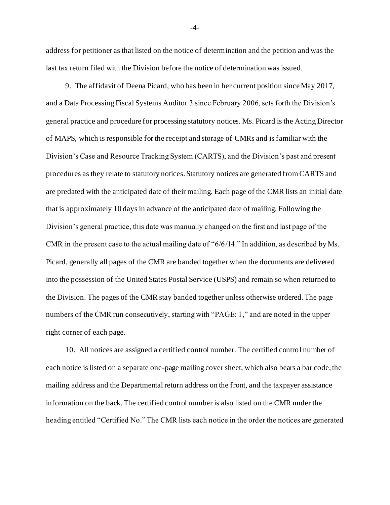address for petitioner as that listed on the notice of determination and the petition and was the last tax return filed with the Division before the notice of determination was issued.

9. The affidavit of Deena Picard, who has been in her current position since May 2017, and a Data Processing Fiscal Systems Auditor 3 since February 2006, sets forth the Division's general practice and procedure for processing statutory notices. Ms. Picard is the Acting Director of MAPS, which is responsible for the receipt and storage of CMRs and is familiar with the Division's Case and Resource Tracking System (CARTS), and the Division's past and present procedures as they relate to statutory notices. Statutory notices are generated from CARTS and are predated with the anticipated date of their mailing. Each page of the CMR lists an initial date that is approximately 10 days in advance of the anticipated date of mailing. Following the Division's general practice, this date was manually changed on the first and last page of the CMR in the present case to the actual mailing date of "6/6/14." In addition, as described by Ms. Picard, generally all pages of the CMR are banded together when the documents are delivered into the possession of the United States Postal Service (USPS) and remain so when returned to the Division. The pages of the CMR stay banded together unless otherwise ordered. The page numbers of the CMR run consecutively, starting with "PAGE: 1," and are noted in the upper right corner of each page.

10. All notices are assigned a certified control number. The certified control number of each notice is listed on a separate one-page mailing cover sheet, which also bears a bar code, the mailing address and the Departmental return address on the front, and the taxpayer assistance information on the back. The certified control number is also listed on the CMR under the heading entitled "Certified No." The CMR lists each notice in the order the notices are generated

-4-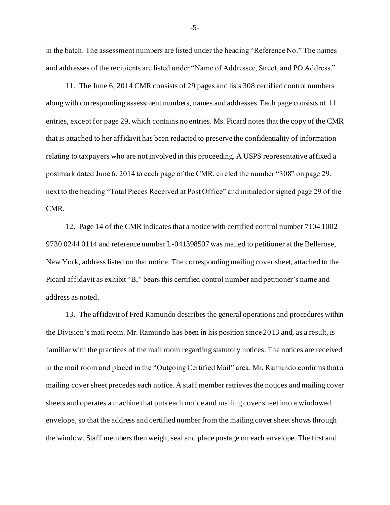in the batch. The assessment numbers are listed under the heading "Reference No." The names and addresses of the recipients are listed under "Name of Addressee, Street, and PO Address."

11. The June 6, 2014 CMR consists of 29 pages and lists 308 certified control numbers along with corresponding assessment numbers, names and addresses. Each page consists of 11 entries, except for page 29, which contains no entries. Ms. Picard notes that the copy of the CMR that is attached to her affidavit has been redacted to preserve the confidentiality of information relating to taxpayers who are not involved in this proceeding. A USPS representative affixed a postmark dated June 6, 2014 to each page of the CMR, circled the number "308" on page 29, next to the heading "Total Pieces Received at Post Office" and initialed or signed page 29 of the CMR.

12. Page 14 of the CMR indicates that a notice with certified control number 7104 1002 9730 0244 0114 and reference number L-041398507 was mailed to petitioner at the Bellerose, New York, address listed on that notice. The corresponding mailing cover sheet, attached to the Picard affidavit as exhibit "B," bears this certified control number and petitioner's name and address as noted.

13. The affidavit of Fred Ramundo describes the general operations and procedures within the Division's mail room. Mr. Ramundo has been in his position since 2013 and, as a result, is familiar with the practices of the mail room regarding statutory notices. The notices are received in the mail room and placed in the "Outgoing Certified Mail" area. Mr. Ramundo confirms that a mailing cover sheet precedes each notice. A staff member retrieves the notices and mailing cover sheets and operates a machine that puts each notice and mailing cover sheet into a windowed envelope, so that the address and certified number from the mailing cover sheet shows through the window. Staff members then weigh, seal and place postage on each envelope. The first and

-5-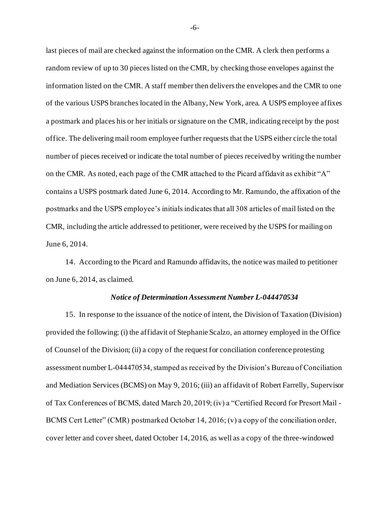last pieces of mail are checked against the information on the CMR. A clerk then performs a random review of up to 30 pieces listed on the CMR, by checking those envelopes against the information listed on the CMR. A staff member then delivers the envelopes and the CMR to one of the various USPS branches located in the Albany, New York, area. A USPS employee affixes a postmark and places his or her initials or signature on the CMR, indicating receipt by the post office. The delivering mail room employee further requests that the USPS either circle the total number of pieces received or indicate the total number of pieces received by writing the number on the CMR. As noted, each page of the CMR attached to the Picard affidavit as exhibit "A" contains a USPS postmark dated June 6, 2014. According to Mr. Ramundo, the affixation of the postmarks and the USPS employee's initials indicates that all 308 articles of mail listed on the CMR, including the article addressed to petitioner, were received by the USPS for mailing on June 6, 2014.

14. According to the Picard and Ramundo affidavits, the notice was mailed to petitioner on June 6, 2014, as claimed.

#### *Notice of Determination Assessment Number L-044470534*

15. In response to the issuance of the notice of intent, the Division of Taxation (Division) provided the following: (i) the affidavit of Stephanie Scalzo, an attorney employed in the Office of Counsel of the Division; (ii) a copy of the request for conciliation conference protesting assessment number L-044470534, stamped as received by the Division's Bureau of Conciliation and Mediation Services (BCMS) on May 9, 2016; (iii) an affidavit of Robert Farrelly, Supervisor of Tax Conferences of BCMS, dated March 20, 2019; (iv) a "Certified Record for Presort Mail - BCMS Cert Letter" (CMR) postmarked October 14, 2016; (v) a copy of the conciliation order, cover letter and cover sheet, dated October 14, 2016, as well as a copy of the three-windowed

-6-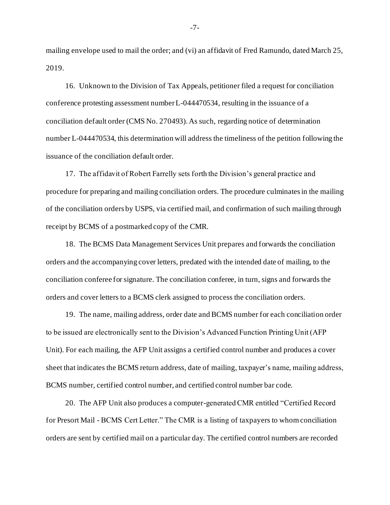mailing envelope used to mail the order; and (vi) an affidavit of Fred Ramundo, dated March 25, 2019.

16. Unknown to the Division of Tax Appeals, petitioner filed a request for conciliation conference protesting assessment number L-044470534, resulting in the issuance of a conciliation default order (CMS No. 270493). As such, regarding notice of determination number L-044470534, this determination will address the timeliness of the petition following the issuance of the conciliation default order.

17. The affidavit of Robert Farrelly sets forth the Division's general practice and procedure for preparing and mailing conciliation orders. The procedure culminates in the mailing of the conciliation orders by USPS, via certified mail, and confirmation of such mailing through receipt by BCMS of a postmarked copy of the CMR.

18. The BCMS Data Management Services Unit prepares and forwards the conciliation orders and the accompanying cover letters, predated with the intended date of mailing, to the conciliation conferee for signature. The conciliation conferee, in turn, signs and forwards the orders and cover letters to a BCMS clerk assigned to process the conciliation orders.

19. The name, mailing address, order date and BCMS number for each conciliation order to be issued are electronically sent to the Division's Advanced Function Printing Unit (AFP Unit). For each mailing, the AFP Unit assigns a certified control number and produces a cover sheet that indicates the BCMS return address, date of mailing, taxpayer's name, mailing address, BCMS number, certified control number, and certified control number bar code.

20. The AFP Unit also produces a computer-generated CMR entitled "Certified Record for Presort Mail - BCMS Cert Letter." The CMR is a listing of taxpayers to whom conciliation orders are sent by certified mail on a particular day. The certified control numbers are recorded

-7-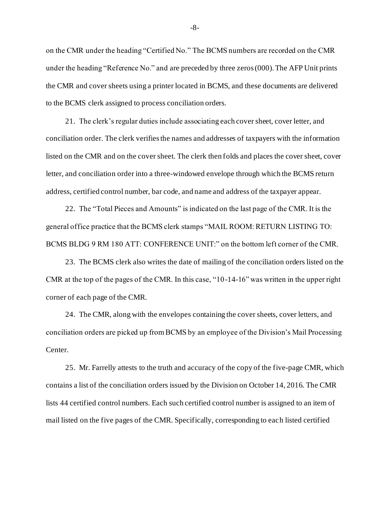on the CMR under the heading "Certified No." The BCMS numbers are recorded on the CMR under the heading "Reference No." and are preceded by three zeros (000). The AFP Unit prints the CMR and cover sheets using a printer located in BCMS, and these documents are delivered to the BCMS clerk assigned to process conciliation orders.

21. The clerk's regular duties include associating each cover sheet, cover letter, and conciliation order. The clerk verifies the names and addresses of taxpayers with the information listed on the CMR and on the cover sheet. The clerk then folds and places the cover sheet, cover letter, and conciliation order into a three-windowed envelope through which the BCMS return address, certified control number, bar code, and name and address of the taxpayer appear.

22. The "Total Pieces and Amounts" is indicated on the last page of the CMR. It is the general office practice that the BCMS clerk stamps "MAIL ROOM: RETURN LISTING TO: BCMS BLDG 9 RM 180 ATT: CONFERENCE UNIT:" on the bottom left corner of the CMR.

23. The BCMS clerk also writes the date of mailing of the conciliation orders listed on the CMR at the top of the pages of the CMR. In this case, "10-14-16" was written in the upper right corner of each page of the CMR.

24. The CMR, along with the envelopes containing the cover sheets, cover letters, and conciliation orders are picked up from BCMS by an employee of the Division's Mail Processing Center.

25. Mr. Farrelly attests to the truth and accuracy of the copy of the five-page CMR, which contains a list of the conciliation orders issued by the Division on October 14, 2016. The CMR lists 44 certified control numbers. Each such certified control number is assigned to an item of mail listed on the five pages of the CMR. Specifically, corresponding to each listed certified

-8-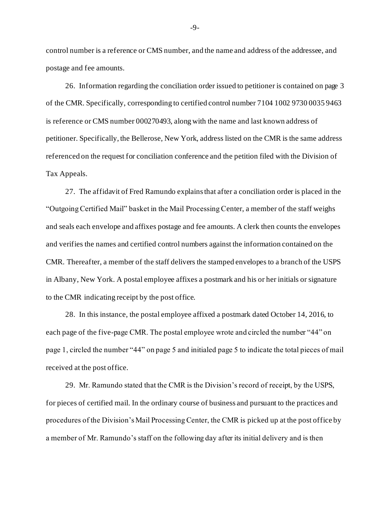control number is a reference or CMS number, and the name and address of the addressee, and postage and fee amounts.

26. Information regarding the conciliation order issued to petitioner is contained on page 3 of the CMR. Specifically, corresponding to certified control number 7104 1002 9730 0035 9463 is reference or CMS number 000270493, along with the name and last known address of petitioner. Specifically, the Bellerose, New York, address listed on the CMR is the same address referenced on the request for conciliation conference and the petition filed with the Division of Tax Appeals.

27. The affidavit of Fred Ramundo explains that after a conciliation order is placed in the "Outgoing Certified Mail" basket in the Mail Processing Center, a member of the staff weighs and seals each envelope and affixes postage and fee amounts. A clerk then counts the envelopes and verifies the names and certified control numbers against the information contained on the CMR. Thereafter, a member of the staff delivers the stamped envelopes to a branch of the USPS in Albany, New York. A postal employee affixes a postmark and his or her initials or signature to the CMR indicating receipt by the post office.

28. In this instance, the postal employee affixed a postmark dated October 14, 2016, to each page of the five-page CMR. The postal employee wrote and circled the number "44" on page 1, circled the number "44" on page 5 and initialed page 5 to indicate the total pieces of mail received at the post office.

29. Mr. Ramundo stated that the CMR is the Division's record of receipt, by the USPS, for pieces of certified mail. In the ordinary course of business and pursuant to the practices and procedures of the Division's Mail Processing Center, the CMR is picked up at the post office by a member of Mr. Ramundo's staff on the following day after its initial delivery and is then

-9-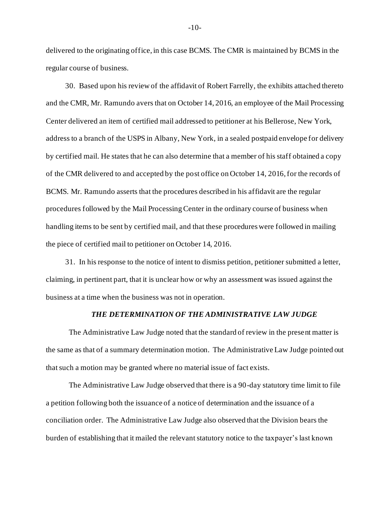delivered to the originating office, in this case BCMS. The CMR is maintained by BCMS in the regular course of business.

30. Based upon his review of the affidavit of Robert Farrelly, the exhibits attached thereto and the CMR, Mr. Ramundo avers that on October 14, 2016, an employee of the Mail Processing Center delivered an item of certified mail addressed to petitioner at his Bellerose, New York, address to a branch of the USPS in Albany, New York, in a sealed postpaid envelope for delivery by certified mail. He states that he can also determine that a member of his staff obtained a copy of the CMR delivered to and accepted by the post office on October 14, 2016, for the records of BCMS. Mr. Ramundo asserts that the procedures described in his affidavit are the regular procedures followed by the Mail Processing Center in the ordinary course of business when handling items to be sent by certified mail, and that these procedures were followed in mailing the piece of certified mail to petitioner on October 14, 2016.

31. In his response to the notice of intent to dismiss petition, petitioner submitted a letter, claiming, in pertinent part, that it is unclear how or why an assessment was issued against the business at a time when the business was not in operation.

#### *THE DETERMINATION OF THE ADMINISTRATIVE LAW JUDGE*

The Administrative Law Judge noted that the standard of review in the present matter is the same as that of a summary determination motion. The Administrative Law Judge pointed out that such a motion may be granted where no material issue of fact exists.

The Administrative Law Judge observed that there is a 90-day statutory time limit to file a petition following both the issuance of a notice of determination and the issuance of a conciliation order. The Administrative Law Judge also observed that the Division bears the burden of establishing that it mailed the relevant statutory notice to the taxpayer's last known

-10-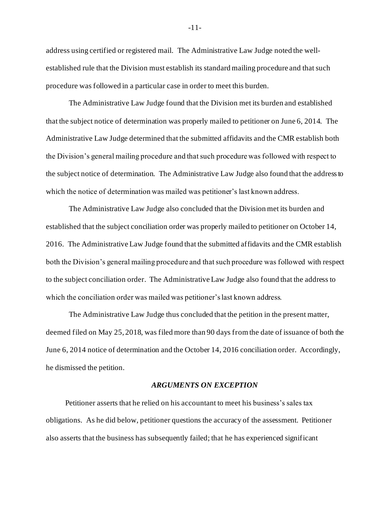address using certified or registered mail. The Administrative Law Judge noted the wellestablished rule that the Division must establish its standard mailing procedure and that such procedure was followed in a particular case in order to meet this burden.

The Administrative Law Judge found that the Division met its burden and established that the subject notice of determination was properly mailed to petitioner on June 6, 2014. The Administrative Law Judge determined that the submitted affidavits and the CMR establish both the Division's general mailing procedure and that such procedure was followed with respect to the subject notice of determination. The Administrative Law Judge also found that the address to which the notice of determination was mailed was petitioner's last known address.

The Administrative Law Judge also concluded that the Division met its burden and established that the subject conciliation order was properly mailed to petitioner on October 14, 2016. The Administrative Law Judge found that the submitted affidavits and the CMR establish both the Division's general mailing procedure and that such procedure was followed with respect to the subject conciliation order. The Administrative Law Judge also found that the address to which the conciliation order was mailed was petitioner's last known address.

The Administrative Law Judge thus concluded that the petition in the present matter, deemed filed on May 25, 2018, was filed more than 90 days from the date of issuance of both the June 6, 2014 notice of determination and the October 14, 2016 conciliation order. Accordingly, he dismissed the petition.

### *ARGUMENTS ON EXCEPTION*

Petitioner asserts that he relied on his accountant to meet his business's sales tax obligations. As he did below, petitioner questions the accuracy of the assessment. Petitioner also asserts that the business has subsequently failed; that he has experienced significant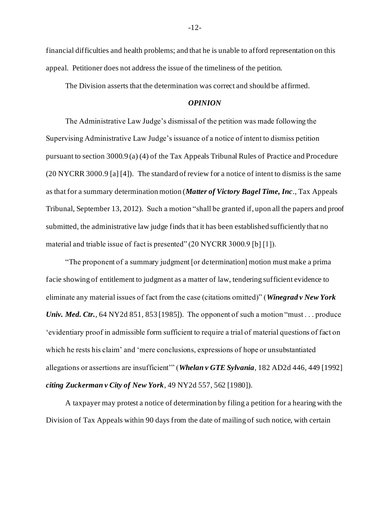financial difficulties and health problems; and that he is unable to afford representation on this appeal. Petitioner does not address the issue of the timeliness of the petition.

The Division asserts that the determination was correct and should be affirmed.

## *OPINION*

The Administrative Law Judge's dismissal of the petition was made following the Supervising Administrative Law Judge's issuance of a notice of intent to dismiss petition pursuant to section 3000.9 (a) (4) of the Tax Appeals Tribunal Rules of Practice and Procedure (20 NYCRR 3000.9 [a] [4]). The standard of review for a notice of intent to dismiss is the same as that for a summary determination motion (*Matter of Victory Bagel Time, Inc*., Tax Appeals Tribunal, September 13, 2012). Such a motion "shall be granted if, upon all the papers and proof submitted, the administrative law judge finds that it has been established sufficiently that no material and triable issue of fact is presented" (20 NYCRR 3000.9 [b] [1]).

"The proponent of a summary judgment [or determination] motion must make a prima facie showing of entitlement to judgment as a matter of law, tendering sufficient evidence to eliminate any material issues of fact from the case (citations omitted)" (*Winegrad v New York Univ. Med. Ctr.*, 64 NY2d 851, 853 [1985]). The opponent of such a motion "must... produce 'evidentiary proof in admissible form sufficient to require a trial of material questions of fact on which he rests his claim' and 'mere conclusions, expressions of hope or unsubstantiated allegations or assertions are insufficient'" (*Whelan v GTE Sylvania*, 182 AD2d 446, 449 [1992] *citing Zuckerman v City of New York*, 49 NY2d 557, 562 [1980]).

A taxpayer may protest a notice of determination by filing a petition for a hearing with the Division of Tax Appeals within 90 days from the date of mailing of such notice, with certain

-12-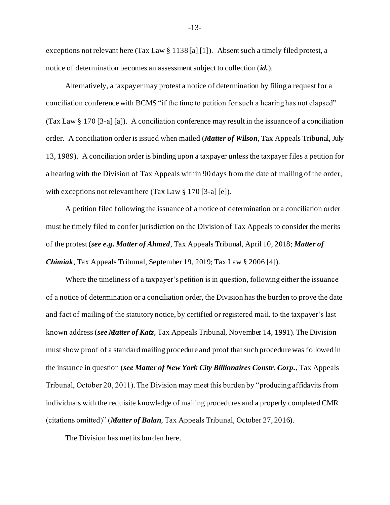exceptions not relevant here (Tax Law § 1138 [a] [1]). Absent such a timely filed protest, a notice of determination becomes an assessment subject to collection (*id.*).

 Alternatively, a taxpayer may protest a notice of determination by filing a request for a conciliation conference with BCMS "if the time to petition for such a hearing has not elapsed" (Tax Law § 170 [3-a] [a]). A conciliation conference may result in the issuance of a conciliation order. A conciliation order is issued when mailed (*Matter of Wilson*, Tax Appeals Tribunal, July 13, 1989). A conciliation order is binding upon a taxpayer unless the taxpayer files a petition for a hearing with the Division of Tax Appeals within 90 days from the date of mailing of the order, with exceptions not relevant here (Tax Law § 170 [3-a] [e]).

A petition filed following the issuance of a notice of determination or a conciliation order must be timely filed to confer jurisdiction on the Division of Tax Appeals to consider the merits of the protest (*see e.g. Matter of Ahmed*, Tax Appeals Tribunal, April 10, 2018; *Matter of Chimiak*, Tax Appeals Tribunal, September 19, 2019; Tax Law § 2006 [4]).

Where the timeliness of a taxpayer's petition is in question, following either the issuance of a notice of determination or a conciliation order, the Division has the burden to prove the date and fact of mailing of the statutory notice, by certified or registered mail, to the taxpayer's last known address (*see Matter of Katz*, Tax Appeals Tribunal, November 14, 1991). The Division must show proof of a standard mailing procedure and proof that such procedure was followed in the instance in question (*see Matter of New York City Billionaires Constr. Corp.*, Tax Appeals Tribunal, October 20, 2011). The Division may meet this burden by "producing affidavits from individuals with the requisite knowledge of mailing procedures and a properly completed CMR (citations omitted)" (*Matter of Balan*, Tax Appeals Tribunal, October 27, 2016).

The Division has met its burden here.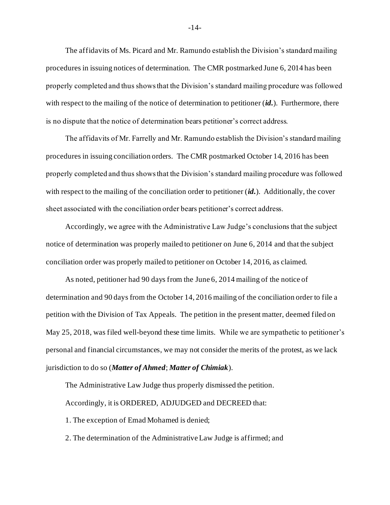The affidavits of Ms. Picard and Mr. Ramundo establish the Division's standard mailing procedures in issuing notices of determination. The CMR postmarked June 6, 2014 has been properly completed and thus shows that the Division's standard mailing procedure was followed with respect to the mailing of the notice of determination to petitioner (*id.*). Furthermore, there is no dispute that the notice of determination bears petitioner's correct address.

The affidavits of Mr. Farrelly and Mr. Ramundo establish the Division's standard mailing procedures in issuing conciliation orders. The CMR postmarked October 14, 2016 has been properly completed and thus shows that the Division's standard mailing procedure was followed with respect to the mailing of the conciliation order to petitioner (*id.*). Additionally, the cover sheet associated with the conciliation order bears petitioner's correct address.

Accordingly, we agree with the Administrative Law Judge's conclusions that the subject notice of determination was properly mailed to petitioner on June 6, 2014 and that the subject conciliation order was properly mailed to petitioner on October 14, 2016, as claimed.

As noted, petitioner had 90 days from the June 6, 2014 mailing of the notice of determination and 90 days from the October 14, 2016 mailing of the conciliation order to file a petition with the Division of Tax Appeals. The petition in the present matter, deemed filed on May 25, 2018, was filed well-beyond these time limits. While we are sympathetic to petitioner's personal and financial circumstances, we may not consider the merits of the protest, as we lack jurisdiction to do so (*Matter of Ahmed*; *Matter of Chimiak*).

The Administrative Law Judge thus properly dismissed the petition.

Accordingly, it is ORDERED, ADJUDGED and DECREED that:

1. The exception of Emad Mohamed is denied;

2. The determination of the Administrative Law Judge is affirmed; and

-14-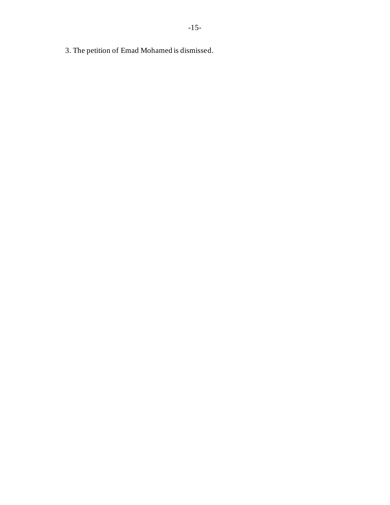3. The petition of Emad Mohamed is dismissed.